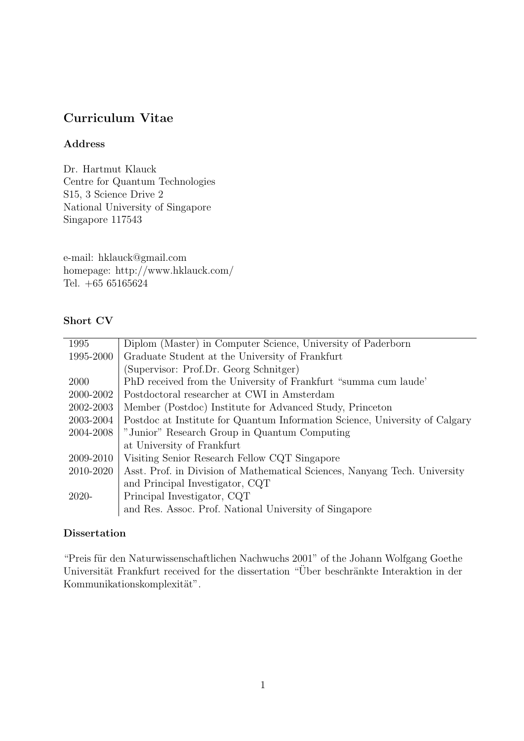# Curriculum Vitae

### Address

Dr. Hartmut Klauck Centre for Quantum Technologies S15, 3 Science Drive 2 National University of Singapore Singapore 117543

e-mail: hklauck@gmail.com homepage: http://www.hklauck.com/ Tel. +65 65165624

### Short CV

| 1995      | Diplom (Master) in Computer Science, University of Paderborn                |
|-----------|-----------------------------------------------------------------------------|
| 1995-2000 | Graduate Student at the University of Frankfurt                             |
|           | (Supervisor: Prof.Dr. Georg Schnitger)                                      |
| 2000      | PhD received from the University of Frankfurt "summa cum laude"             |
| 2000-2002 | Postdoctoral researcher at CWI in Amsterdam                                 |
| 2002-2003 | Member (Postdoc) Institute for Advanced Study, Princeton                    |
| 2003-2004 | Postdoc at Institute for Quantum Information Science, University of Calgary |
| 2004-2008 | "Junior" Research Group in Quantum Computing                                |
|           | at University of Frankfurt                                                  |
| 2009-2010 | Visiting Senior Research Fellow CQT Singapore                               |
| 2010-2020 | Asst. Prof. in Division of Mathematical Sciences, Nanyang Tech. University  |
|           | and Principal Investigator, CQT                                             |
| 2020-     | Principal Investigator, CQT                                                 |
|           | and Res. Assoc. Prof. National University of Singapore                      |
|           |                                                                             |

### Dissertation

"Preis für den Naturwissenschaftlichen Nachwuchs 2001" of the Johann Wolfgang Goethe Universität Frankfurt received for the dissertation "Über beschränkte Interaktion in der Kommunikationskomplexität".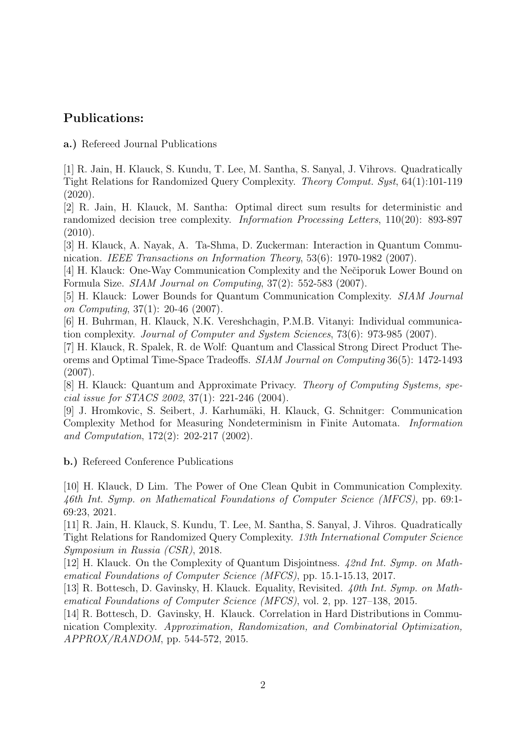# Publications:

a.) Refereed Journal Publications

[1] R. Jain, H. Klauck, S. Kundu, T. Lee, M. Santha, S. Sanyal, J. Vihrovs. Quadratically Tight Relations for Randomized Query Complexity. Theory Comput. Syst, 64(1):101-119 (2020).

[2] R. Jain, H. Klauck, M. Santha: Optimal direct sum results for deterministic and randomized decision tree complexity. Information Processing Letters, 110(20): 893-897 (2010).

[3] H. Klauck, A. Nayak, A. Ta-Shma, D. Zuckerman: Interaction in Quantum Communication. IEEE Transactions on Information Theory, 53(6): 1970-1982 (2007).

[4] H. Klauck: One-Way Communication Complexity and the Nečiporuk Lower Bound on Formula Size. SIAM Journal on Computing, 37(2): 552-583 (2007).

[5] H. Klauck: Lower Bounds for Quantum Communication Complexity. SIAM Journal on Computing, 37(1): 20-46 (2007).

[6] H. Buhrman, H. Klauck, N.K. Vereshchagin, P.M.B. Vitanyi: Individual communication complexity. Journal of Computer and System Sciences, 73(6): 973-985 (2007).

[7] H. Klauck, R. Spalek, R. de Wolf: Quantum and Classical Strong Direct Product Theorems and Optimal Time-Space Tradeoffs. SIAM Journal on Computing 36(5): 1472-1493 (2007).

[8] H. Klauck: Quantum and Approximate Privacy. Theory of Computing Systems, special issue for STACS 2002, 37(1): 221-246 (2004).

[9] J. Hromkovic, S. Seibert, J. Karhum¨aki, H. Klauck, G. Schnitger: Communication Complexity Method for Measuring Nondeterminism in Finite Automata. Information and Computation, 172(2): 202-217 (2002).

b.) Refereed Conference Publications

[10] H. Klauck, D Lim. The Power of One Clean Qubit in Communication Complexity. 46th Int. Symp. on Mathematical Foundations of Computer Science (MFCS), pp. 69:1- 69:23, 2021.

[11] R. Jain, H. Klauck, S. Kundu, T. Lee, M. Santha, S. Sanyal, J. Vihros. Quadratically Tight Relations for Randomized Query Complexity. 13th International Computer Science Symposium in Russia (CSR), 2018.

[12] H. Klauck. On the Complexity of Quantum Disjointness. 42nd Int. Symp. on Mathematical Foundations of Computer Science (MFCS), pp. 15.1-15.13, 2017.

[13] R. Bottesch, D. Gavinsky, H. Klauck. Equality, Revisited. 40th Int. Symp. on Mathematical Foundations of Computer Science (MFCS), vol. 2, pp. 127–138, 2015.

[14] R. Bottesch, D. Gavinsky, H. Klauck. Correlation in Hard Distributions in Communication Complexity. Approximation, Randomization, and Combinatorial Optimization, APPROX/RANDOM, pp. 544-572, 2015.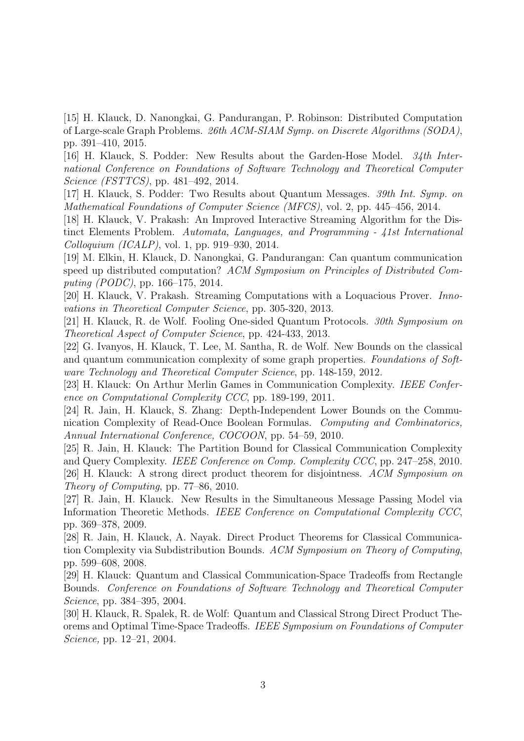[15] H. Klauck, D. Nanongkai, G. Pandurangan, P. Robinson: Distributed Computation of Large-scale Graph Problems. 26th ACM-SIAM Symp. on Discrete Algorithms (SODA), pp. 391–410, 2015.

[16] H. Klauck, S. Podder: New Results about the Garden-Hose Model. 34th International Conference on Foundations of Software Technology and Theoretical Computer Science (FSTTCS), pp. 481–492, 2014.

[17] H. Klauck, S. Podder: Two Results about Quantum Messages. 39th Int. Symp. on Mathematical Foundations of Computer Science (MFCS), vol. 2, pp. 445–456, 2014.

[18] H. Klauck, V. Prakash: An Improved Interactive Streaming Algorithm for the Distinct Elements Problem. Automata, Languages, and Programming - 41st International Colloquium (ICALP), vol. 1, pp. 919–930, 2014.

[19] M. Elkin, H. Klauck, D. Nanongkai, G. Pandurangan: Can quantum communication speed up distributed computation? ACM Symposium on Principles of Distributed Computing (PODC), pp. 166–175, 2014.

[20] H. Klauck, V. Prakash. Streaming Computations with a Loquacious Prover. Innovations in Theoretical Computer Science, pp. 305-320, 2013.

[21] H. Klauck, R. de Wolf. Fooling One-sided Quantum Protocols. 30th Symposium on Theoretical Aspect of Computer Science, pp. 424-433, 2013.

[22] G. Ivanyos, H. Klauck, T. Lee, M. Santha, R. de Wolf. New Bounds on the classical and quantum communication complexity of some graph properties. Foundations of Software Technology and Theoretical Computer Science, pp. 148-159, 2012.

[23] H. Klauck: On Arthur Merlin Games in Communication Complexity. IEEE Conference on Computational Complexity CCC, pp. 189-199, 2011.

[24] R. Jain, H. Klauck, S. Zhang: Depth-Independent Lower Bounds on the Communication Complexity of Read-Once Boolean Formulas. Computing and Combinatorics, Annual International Conference, COCOON, pp. 54–59, 2010.

[25] R. Jain, H. Klauck: The Partition Bound for Classical Communication Complexity and Query Complexity. IEEE Conference on Comp. Complexity CCC, pp. 247–258, 2010. [26] H. Klauck: A strong direct product theorem for disjointness. ACM Symposium on Theory of Computing, pp. 77–86, 2010.

[27] R. Jain, H. Klauck. New Results in the Simultaneous Message Passing Model via Information Theoretic Methods. IEEE Conference on Computational Complexity CCC, pp. 369–378, 2009.

[28] R. Jain, H. Klauck, A. Nayak. Direct Product Theorems for Classical Communication Complexity via Subdistribution Bounds. ACM Symposium on Theory of Computing, pp. 599–608, 2008.

[29] H. Klauck: Quantum and Classical Communication-Space Tradeoffs from Rectangle Bounds. Conference on Foundations of Software Technology and Theoretical Computer Science, pp. 384–395, 2004.

[30] H. Klauck, R. Spalek, R. de Wolf: Quantum and Classical Strong Direct Product Theorems and Optimal Time-Space Tradeoffs. IEEE Symposium on Foundations of Computer Science, pp. 12–21, 2004.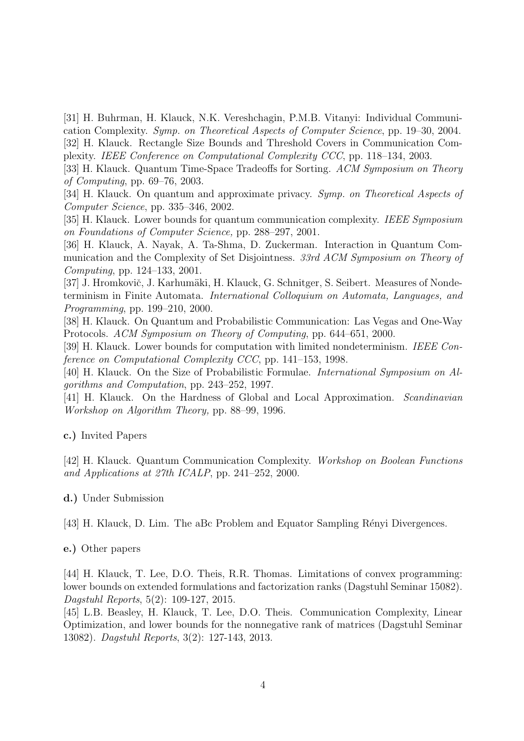[31] H. Buhrman, H. Klauck, N.K. Vereshchagin, P.M.B. Vitanyi: Individual Communication Complexity. Symp. on Theoretical Aspects of Computer Science, pp. 19–30, 2004. [32] H. Klauck. Rectangle Size Bounds and Threshold Covers in Communication Complexity. IEEE Conference on Computational Complexity CCC, pp. 118–134, 2003.

[33] H. Klauck. Quantum Time-Space Tradeoffs for Sorting. ACM Symposium on Theory of Computing, pp. 69–76, 2003.

[34] H. Klauck. On quantum and approximate privacy. Symp. on Theoretical Aspects of Computer Science, pp. 335–346, 2002.

[35] H. Klauck. Lower bounds for quantum communication complexity. IEEE Symposium on Foundations of Computer Science, pp. 288–297, 2001.

[36] H. Klauck, A. Nayak, A. Ta-Shma, D. Zuckerman. Interaction in Quantum Communication and the Complexity of Set Disjointness. 33rd ACM Symposium on Theory of Computing, pp. 124–133, 2001.

[37] J. Hromkovič, J. Karhumäki, H. Klauck, G. Schnitger, S. Seibert. Measures of Nondeterminism in Finite Automata. International Colloquium on Automata, Languages, and Programming, pp. 199–210, 2000.

[38] H. Klauck. On Quantum and Probabilistic Communication: Las Vegas and One-Way Protocols. ACM Symposium on Theory of Computing, pp. 644–651, 2000.

[39] H. Klauck. Lower bounds for computation with limited nondeterminism. IEEE Conference on Computational Complexity CCC, pp. 141–153, 1998.

[40] H. Klauck. On the Size of Probabilistic Formulae. International Symposium on Algorithms and Computation, pp. 243–252, 1997.

[41] H. Klauck. On the Hardness of Global and Local Approximation. Scandinavian Workshop on Algorithm Theory, pp. 88–99, 1996.

c.) Invited Papers

[42] H. Klauck. Quantum Communication Complexity. Workshop on Boolean Functions and Applications at 27th ICALP, pp. 241–252, 2000.

d.) Under Submission

[43] H. Klauck, D. Lim. The aBc Problem and Equator Sampling Rényi Divergences.

e.) Other papers

[44] H. Klauck, T. Lee, D.O. Theis, R.R. Thomas. Limitations of convex programming: lower bounds on extended formulations and factorization ranks (Dagstuhl Seminar 15082). Dagstuhl Reports, 5(2): 109-127, 2015.

[45] L.B. Beasley, H. Klauck, T. Lee, D.O. Theis. Communication Complexity, Linear Optimization, and lower bounds for the nonnegative rank of matrices (Dagstuhl Seminar 13082). Dagstuhl Reports, 3(2): 127-143, 2013.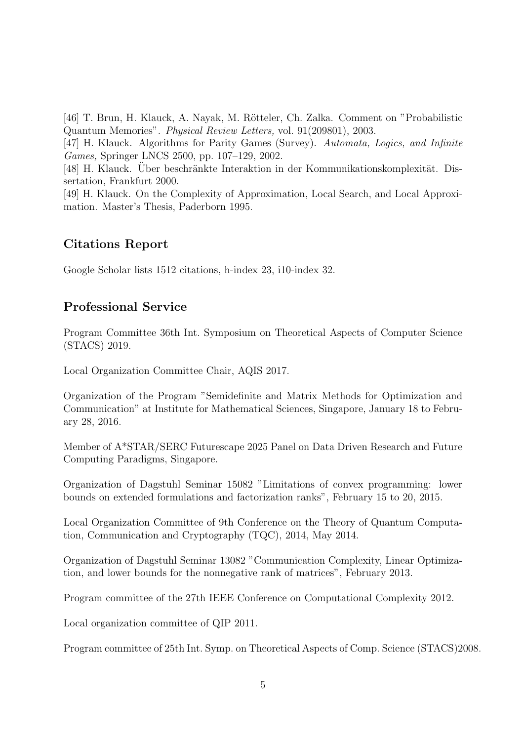[46] T. Brun, H. Klauck, A. Nayak, M. Rötteler, Ch. Zalka. Comment on "Probabilistic Quantum Memories". Physical Review Letters, vol. 91(209801), 2003.

[47] H. Klauck. Algorithms for Parity Games (Survey). Automata, Logics, and Infinite Games, Springer LNCS 2500, pp. 107–129, 2002.

[48] H. Klauck. Uber beschränkte Interaktion in der Kommunikationskomplexität. Dissertation, Frankfurt 2000.

[49] H. Klauck. On the Complexity of Approximation, Local Search, and Local Approximation. Master's Thesis, Paderborn 1995.

# Citations Report

Google Scholar lists 1512 citations, h-index 23, i10-index 32.

### Professional Service

Program Committee 36th Int. Symposium on Theoretical Aspects of Computer Science (STACS) 2019.

Local Organization Committee Chair, AQIS 2017.

Organization of the Program "Semidefinite and Matrix Methods for Optimization and Communication" at Institute for Mathematical Sciences, Singapore, January 18 to February 28, 2016.

Member of A\*STAR/SERC Futurescape 2025 Panel on Data Driven Research and Future Computing Paradigms, Singapore.

Organization of Dagstuhl Seminar 15082 "Limitations of convex programming: lower bounds on extended formulations and factorization ranks", February 15 to 20, 2015.

Local Organization Committee of 9th Conference on the Theory of Quantum Computation, Communication and Cryptography (TQC), 2014, May 2014.

Organization of Dagstuhl Seminar 13082 "Communication Complexity, Linear Optimization, and lower bounds for the nonnegative rank of matrices", February 2013.

Program committee of the 27th IEEE Conference on Computational Complexity 2012.

Local organization committee of QIP 2011.

Program committee of 25th Int. Symp. on Theoretical Aspects of Comp. Science (STACS)2008.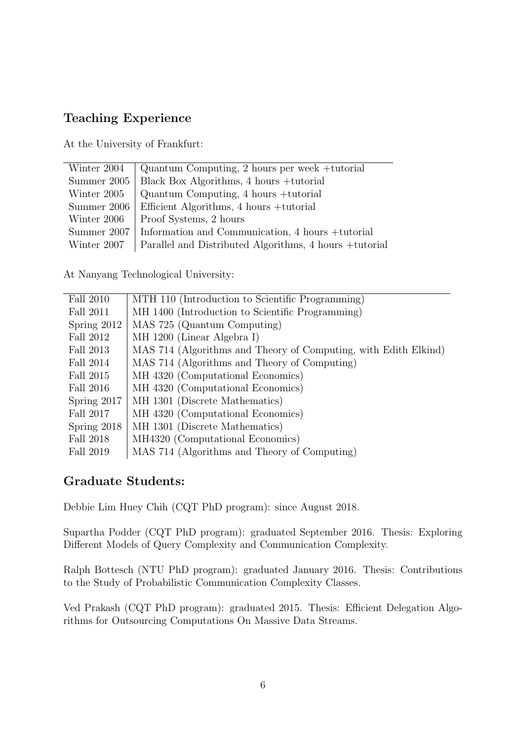# Teaching Experience

At the University of Frankfurt:

At Nanyang Technological University:

| Fall 2010     | MTH 110 (Introduction to Scientific Programming)                |
|---------------|-----------------------------------------------------------------|
| Fall 2011     | MH 1400 (Introduction to Scientific Programming)                |
| Spring $2012$ | MAS 725 (Quantum Computing)                                     |
| Fall 2012     | MH 1200 (Linear Algebra I)                                      |
| Fall 2013     | MAS 714 (Algorithms and Theory of Computing, with Edith Elkind) |
| Fall 2014     | MAS 714 (Algorithms and Theory of Computing)                    |
| Fall 2015     | MH 4320 (Computational Economics)                               |
| Fall 2016     | MH 4320 (Computational Economics)                               |
| Spring 2017   | MH 1301 (Discrete Mathematics)                                  |
| Fall 2017     | MH 4320 (Computational Economics)                               |
| Spring 2018   | MH 1301 (Discrete Mathematics)                                  |
| Fall 2018     | MH4320 (Computational Economics)                                |
| Fall 2019     | MAS 714 (Algorithms and Theory of Computing)                    |

# Graduate Students:

Debbie Lim Huey Chih (CQT PhD program): since August 2018.

Supartha Podder (CQT PhD program): graduated September 2016. Thesis: Exploring Different Models of Query Complexity and Communication Complexity.

Ralph Bottesch (NTU PhD program): graduated January 2016. Thesis: Contributions to the Study of Probabilistic Communication Complexity Classes.

Ved Prakash (CQT PhD program): graduated 2015. Thesis: Efficient Delegation Algorithms for Outsourcing Computations On Massive Data Streams.